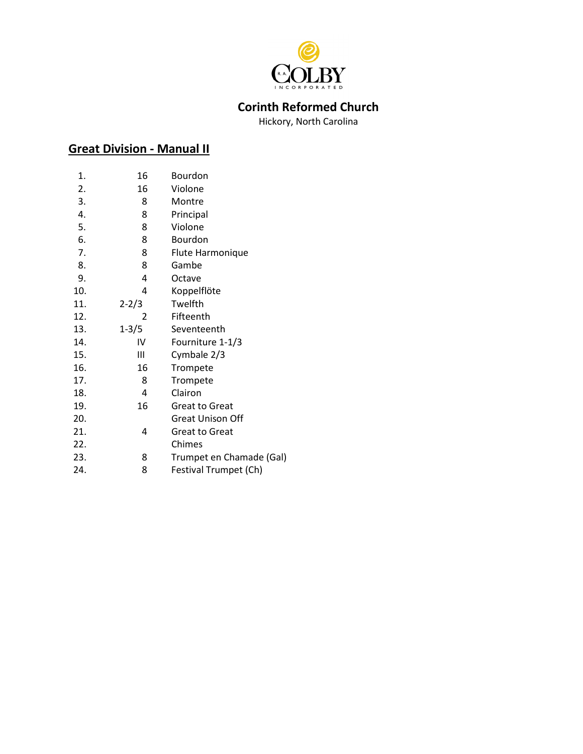

## **Corinth Reformed Church**

Hickory, North Carolina

# **Great Division - Manual II**

| 1.  | 16        | Bourdon                  |
|-----|-----------|--------------------------|
| 2.  | 16        | Violone                  |
| 3.  | 8         | Montre                   |
| 4.  | 8         | Principal                |
| 5.  | 8         | Violone                  |
| 6.  | 8         | Bourdon                  |
| 7.  | 8         | Flute Harmonique         |
| 8.  | 8         | Gambe                    |
| 9.  | 4         | Octave                   |
| 10. | 4         | Koppelflöte              |
| 11. | $2 - 2/3$ | Twelfth                  |
| 12. | 2         | Fifteenth                |
| 13. | $1 - 3/5$ | Seventeenth              |
| 14. | IV        | Fourniture 1-1/3         |
| 15. | Ш         | Cymbale 2/3              |
| 16. | 16        | Trompete                 |
| 17. | 8         | Trompete                 |
| 18. | 4         | Clairon                  |
| 19. | 16        | <b>Great to Great</b>    |
| 20. |           | Great Unison Off         |
| 21. | 4         | <b>Great to Great</b>    |
| 22. |           | Chimes                   |
| 23. | 8         | Trumpet en Chamade (Gal) |
| 24. | 8         | Festival Trumpet (Ch)    |
|     |           |                          |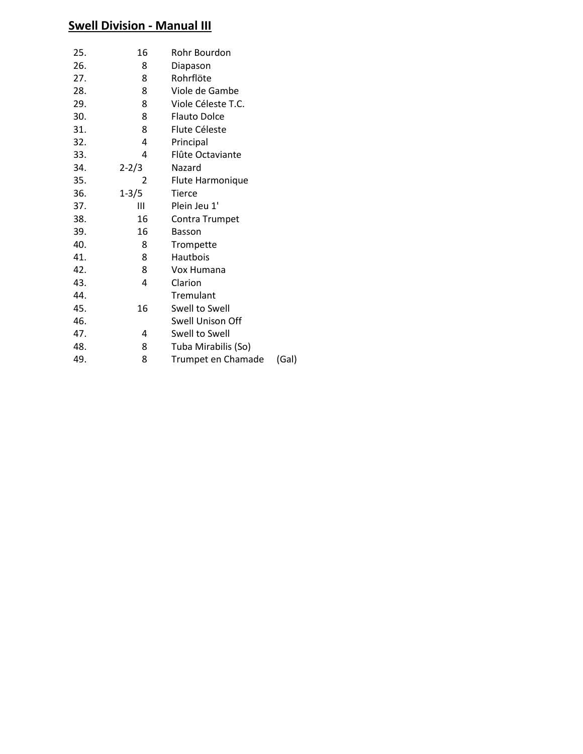## **Swell Division - Manual III**

| 25. | 16        | Rohr Bourdon        |       |
|-----|-----------|---------------------|-------|
| 26. | 8         | Diapason            |       |
| 27. | 8         | Rohrflöte           |       |
| 28. | 8         | Viole de Gambe      |       |
| 29. | 8         | Viole Céleste T.C.  |       |
| 30. | 8         | <b>Flauto Dolce</b> |       |
| 31. | 8         | Flute Céleste       |       |
| 32. | 4         | Principal           |       |
| 33. | 4         | Flûte Octaviante    |       |
| 34. | $2 - 2/3$ | Nazard              |       |
| 35. | 2         | Flute Harmonique    |       |
| 36. | $1 - 3/5$ | <b>Tierce</b>       |       |
| 37. | Ш         | Plein Jeu 1'        |       |
| 38. | 16        | Contra Trumpet      |       |
| 39. | 16        | <b>Basson</b>       |       |
| 40. | 8         | Trompette           |       |
| 41. | 8         | Hautbois            |       |
| 42. | 8         | Vox Humana          |       |
| 43. | 4         | Clarion             |       |
| 44. |           | Tremulant           |       |
| 45. | 16        | Swell to Swell      |       |
| 46. |           | Swell Unison Off    |       |
| 47. | 4         | Swell to Swell      |       |
| 48. | 8         | Tuba Mirabilis (So) |       |
| 49. | 8         | Trumpet en Chamade  | (Gal) |
|     |           |                     |       |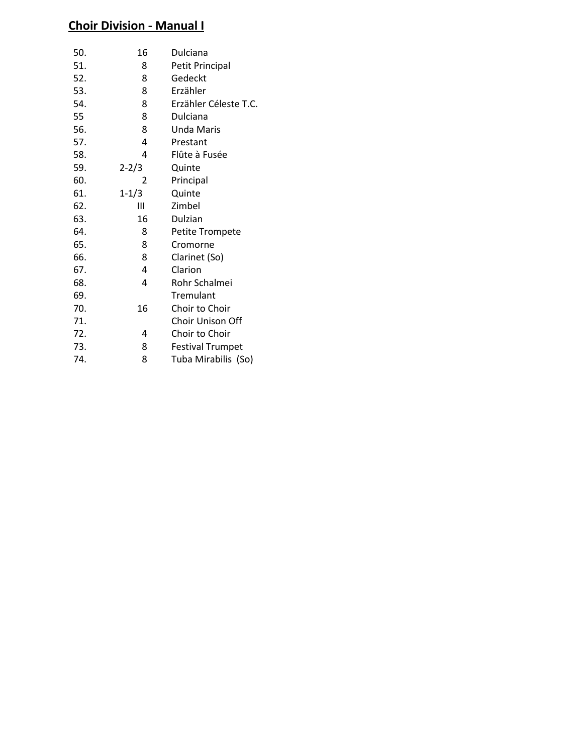## **Choir Division - Manual I**

| 50. | 16        | Dulciana                |
|-----|-----------|-------------------------|
| 51. | 8         | Petit Principal         |
| 52. | 8         | Gedeckt                 |
| 53. | 8         | Erzähler                |
| 54. | 8         | Erzähler Céleste T.C.   |
| 55  | 8         | Dulciana                |
| 56. | 8         | Unda Maris              |
| 57. | 4         | Prestant                |
| 58. | 4         | Flûte à Fusée           |
| 59. | $2 - 2/3$ | Quinte                  |
| 60. | 2         | Principal               |
| 61. | $1 - 1/3$ | Quinte                  |
| 62. | Ш         | Zimbel                  |
| 63. | 16        | Dulzian                 |
| 64. | 8         | Petite Trompete         |
| 65. | 8         | Cromorne                |
| 66. | 8         | Clarinet (So)           |
| 67. | 4         | Clarion                 |
| 68. | 4         | Rohr Schalmei           |
| 69. |           | Tremulant               |
| 70. | 16        | Choir to Choir          |
| 71. |           | <b>Choir Unison Off</b> |
| 72. | 4         | Choir to Choir          |
| 73. | 8         | <b>Festival Trumpet</b> |
| 74. | 8         | Tuba Mirabilis (So)     |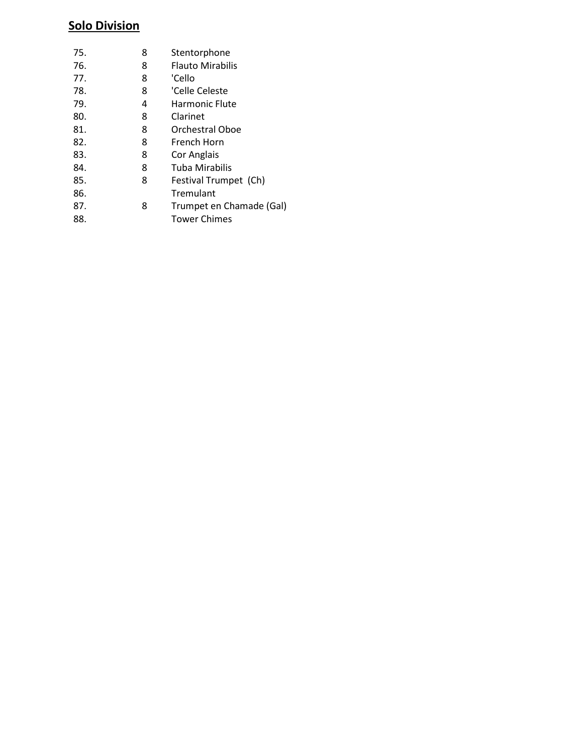## **Solo Division**

| 75. | 8 | Stentorphone             |
|-----|---|--------------------------|
| 76. | 8 | <b>Flauto Mirabilis</b>  |
| 77. | 8 | 'Cello                   |
| 78. | 8 | 'Celle Celeste           |
| 79. | 4 | Harmonic Flute           |
| 80. | 8 | Clarinet                 |
| 81. | 8 | Orchestral Oboe          |
| 82. | 8 | French Horn              |
| 83. | 8 | Cor Anglais              |
| 84. | 8 | Tuba Mirabilis           |
| 85. | 8 | Festival Trumpet (Ch)    |
| 86. |   | Tremulant                |
| 87. | 8 | Trumpet en Chamade (Gal) |
| 88. |   | Tower Chimes             |
|     |   |                          |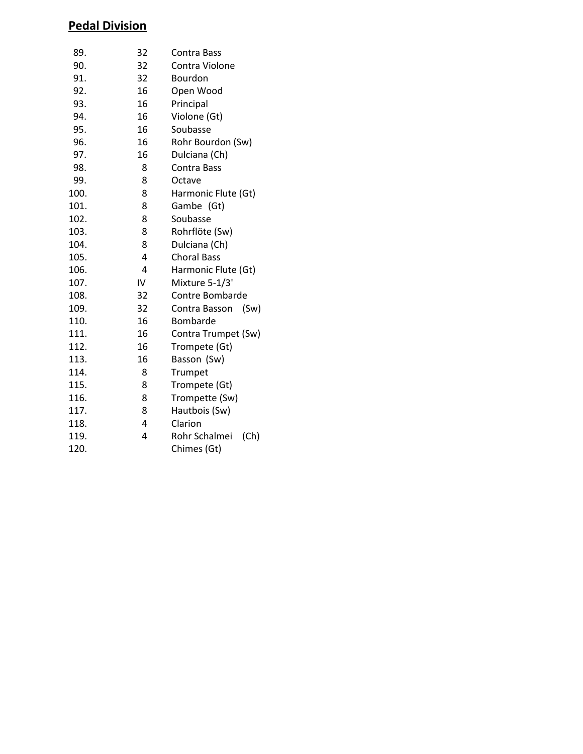# **Pedal Division**

| 89.  | 32 | Contra Bass           |
|------|----|-----------------------|
| 90.  | 32 | Contra Violone        |
| 91.  | 32 | Bourdon               |
| 92.  | 16 | Open Wood             |
| 93.  | 16 | Principal             |
| 94.  | 16 | Violone (Gt)          |
| 95.  | 16 | Soubasse              |
| 96.  | 16 | Rohr Bourdon (Sw)     |
| 97.  | 16 | Dulciana (Ch)         |
| 98.  | 8  | Contra Bass           |
| 99.  | 8  | Octave                |
| 100. | 8  | Harmonic Flute (Gt)   |
| 101. | 8  | Gambe (Gt)            |
| 102. | 8  | Soubasse              |
| 103. | 8  | Rohrflöte (Sw)        |
| 104. | 8  | Dulciana (Ch)         |
| 105. | 4  | <b>Choral Bass</b>    |
| 106. | 4  | Harmonic Flute (Gt)   |
| 107. | IV | Mixture 5-1/3'        |
| 108. | 32 | Contre Bombarde       |
| 109. | 32 | (Sw)<br>Contra Basson |
| 110. | 16 | Bombarde              |
| 111. | 16 | Contra Trumpet (Sw)   |
| 112. | 16 | Trompete (Gt)         |
| 113. | 16 | Basson (Sw)           |
| 114. | 8  | Trumpet               |
| 115. | 8  | Trompete (Gt)         |
| 116. | 8  | Trompette (Sw)        |
| 117. | 8  | Hautbois (Sw)         |
| 118. | 4  | Clarion               |
| 119. | 4  | Rohr Schalmei<br>(Ch) |
| 120. |    | Chimes (Gt)           |